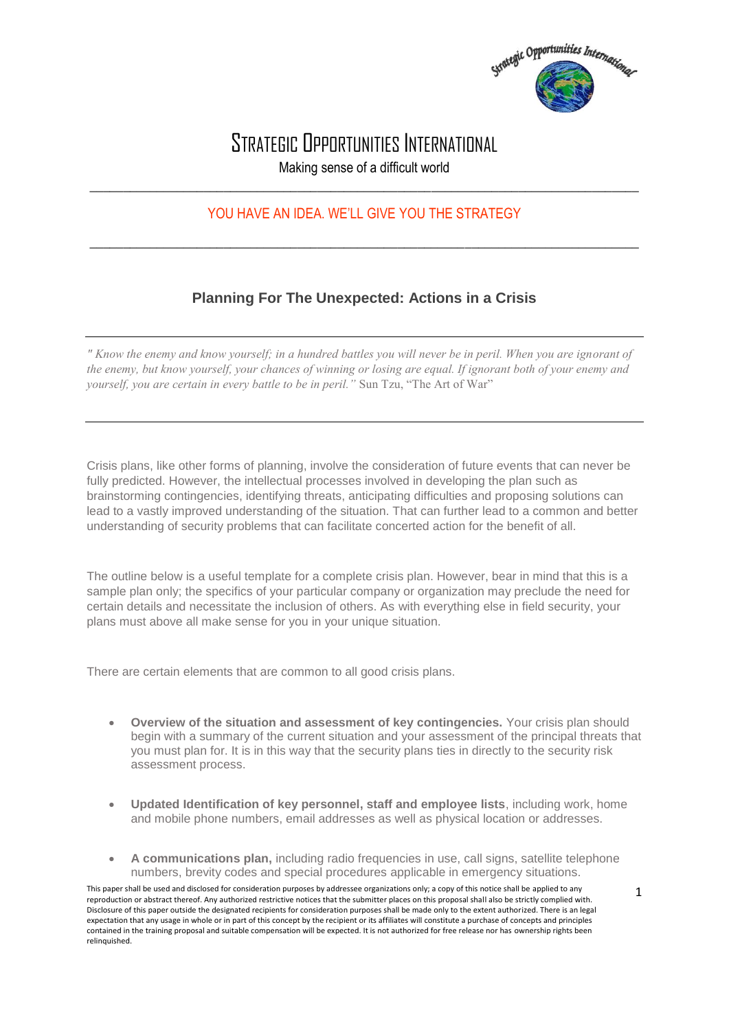

# STRATEGIC OPPORTUNITIES INTERNATIONAL Making sense of a difficult world

# YOU HAVE AN IDEA WE'LL GIVE YOU THE STRATEGY

\_\_\_\_\_\_\_\_\_\_\_\_\_\_\_\_\_\_\_\_\_\_\_\_\_\_\_\_\_\_\_\_\_\_\_\_\_\_\_\_\_\_\_\_\_\_\_\_\_\_\_\_\_\_\_\_\_\_\_\_\_\_\_\_\_\_\_\_\_\_\_\_\_\_\_\_\_\_\_\_\_\_

\_\_\_\_\_\_\_\_\_\_\_\_\_\_\_\_\_\_\_\_\_\_\_\_\_\_\_\_\_\_\_\_\_\_\_\_\_\_\_\_\_\_\_\_\_\_\_\_\_\_\_\_\_\_\_\_\_\_\_\_\_\_\_\_\_\_\_\_\_\_\_\_\_\_\_\_\_\_\_\_\_\_

# **Planning For The Unexpected: Actions in a Crisis**

*" Know the enemy and know yourself; in a hundred battles you will never be in peril. When you are ignorant of the enemy, but know yourself, your chances of winning or losing are equal. If ignorant both of your enemy and yourself, you are certain in every battle to be in peril."* Sun Tzu, "The Art of War"

Crisis plans, like other forms of planning, involve the consideration of future events that can never be fully predicted. However, the intellectual processes involved in developing the plan such as brainstorming contingencies, identifying threats, anticipating difficulties and proposing solutions can lead to a vastly improved understanding of the situation. That can further lead to a common and better understanding of security problems that can facilitate concerted action for the benefit of all.

The outline below is a useful template for a complete crisis plan. However, bear in mind that this is a sample plan only; the specifics of your particular company or organization may preclude the need for certain details and necessitate the inclusion of others. As with everything else in field security, your plans must above all make sense for you in your unique situation.

There are certain elements that are common to all good crisis plans.

- **Overview of the situation and assessment of key contingencies.** Your crisis plan should begin with a summary of the current situation and your assessment of the principal threats that you must plan for. It is in this way that the security plans ties in directly to the security risk assessment process.
- **Updated Identification of key personnel, staff and employee lists**, including work, home and mobile phone numbers, email addresses as well as physical location or addresses.
- **A communications plan,** including radio frequencies in use, call signs, satellite telephone numbers, brevity codes and special procedures applicable in emergency situations.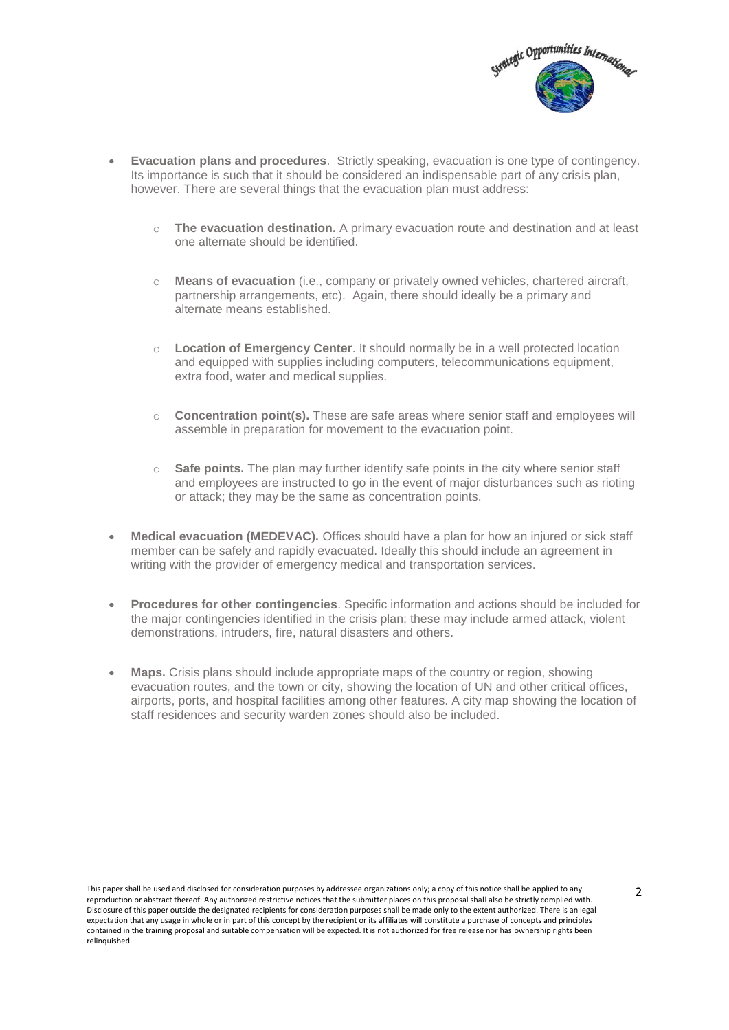

- **Evacuation plans and procedures**. Strictly speaking, evacuation is one type of contingency. Its importance is such that it should be considered an indispensable part of any crisis plan, however. There are several things that the evacuation plan must address:
	- o **The evacuation destination.** A primary evacuation route and destination and at least one alternate should be identified.
	- o **Means of evacuation** (i.e., company or privately owned vehicles, chartered aircraft, partnership arrangements, etc).Again, there should ideally be a primary and alternate means established.
	- o **Location of Emergency Center**. It should normally be in a well protected location and equipped with supplies including computers, telecommunications equipment, extra food, water and medical supplies.
	- o **Concentration point(s).** These are safe areas where senior staff and employees will assemble in preparation for movement to the evacuation point.
	- o **Safe points.** The plan may further identify safe points in the city where senior staff and employees are instructed to go in the event of major disturbances such as rioting or attack; they may be the same as concentration points.
- **Medical evacuation (MEDEVAC).** Offices should have a plan for how an injured or sick staff member can be safely and rapidly evacuated. Ideally this should include an agreement in writing with the provider of emergency medical and transportation services.
- **Procedures for other contingencies**. Specific information and actions should be included for the major contingencies identified in the crisis plan; these may include armed attack, violent demonstrations, intruders, fire, natural disasters and others.
- **Maps.** Crisis plans should include appropriate maps of the country or region, showing evacuation routes, and the town or city, showing the location of UN and other critical offices, airports, ports, and hospital facilities among other features. A city map showing the location of staff residences and security warden zones should also be included.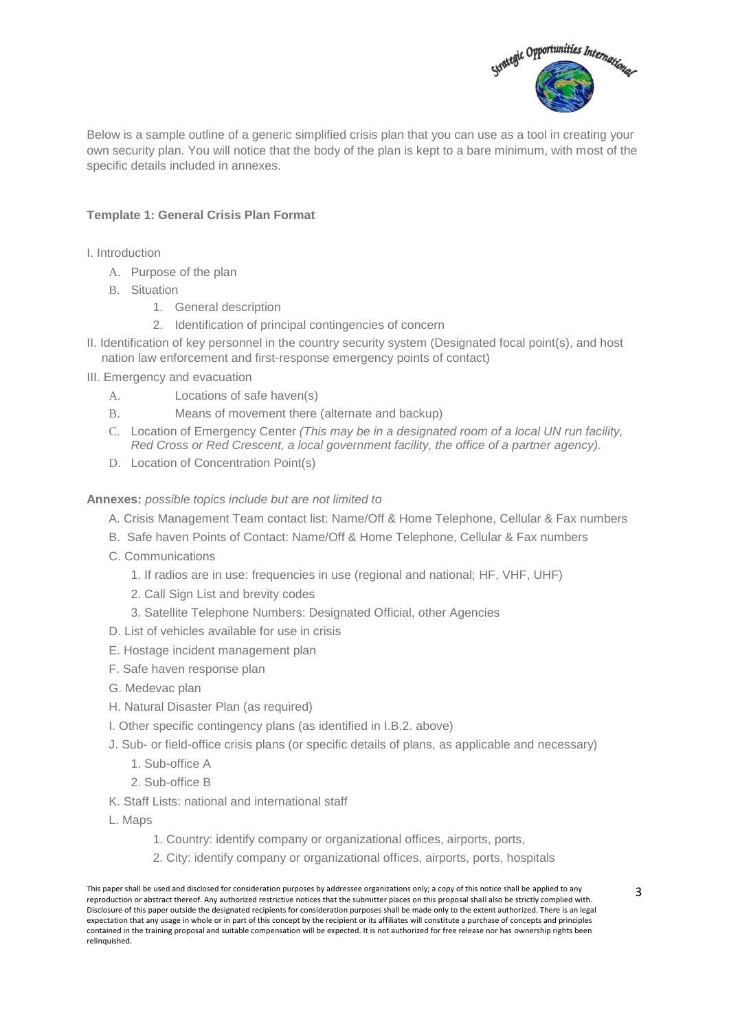

Below is a sample outline of a generic simplified crisis plan that you can use as a tool in creating your own security plan. You will notice that the body of the plan is kept to a bare minimum, with most of the specific details included in annexes.

# **Template 1: General Crisis Plan Format**

- I. Introduction
	- A. Purpose of the plan
	- B. Situation
		- 1. General description
		- 2. Identification of principal contingencies of concern
- II. Identification of key personnel in the country security system (Designated focal point(s), and host nation law enforcement and first-response emergency points of contact)
- III. Emergency and evacuation
	- A. Locations of safe haven(s)
	- B. Means of movement there (alternate and backup)
	- C. Location of Emergency Center *(This may be in a designated room of a local UN run facility, Red Cross or Red Crescent, a local government facility, the office of a partner agency).*
	- D. Location of Concentration Point(s)

#### **Annexes:** *possible topics include but are not limited to*

- A. Crisis Management Team contact list: Name/Off & Home Telephone, Cellular & Fax numbers
- B. Safe haven Points of Contact: Name/Off & Home Telephone, Cellular & Fax numbers
- C. Communications
	- 1. If radios are in use: frequencies in use (regional and national; HF, VHF, UHF)
	- 2. Call Sign List and brevity codes
	- 3. Satellite Telephone Numbers: Designated Official, other Agencies
- D. List of vehicles available for use in crisis
- E. Hostage incident management plan
- F. Safe haven response plan
- G. Medevac plan
- H. Natural Disaster Plan (as required)
- I. Other specific contingency plans (as identified in I.B.2. above)
- J. Sub- or field-office crisis plans (or specific details of plans, as applicable and necessary)
	- 1. Sub-office A
	- 2. Sub-office B
- K. Staff Lists: national and international staff
- L. Maps
	- 1. Country: identify company or organizational offices, airports, ports,
	- 2. City: identify company or organizational offices, airports, ports, hospitals

This paper shall be used and disclosed for consideration purposes by addressee organizations only; a copy of this notice shall be applied to any reproduction or abstract thereof. Any authorized restrictive notices that the submitter places on this proposal shall also be strictly complied with. Disclosure of this paper outside the designated recipients for consideration purposes shall be made only to the extent authorized. There is an legal expectation that any usage in whole or in part of this concept by the recipient or its affiliates will constitute a purchase of concepts and principles contained in the training proposal and suitable compensation will be expected. It is not authorized for free release nor has ownership rights been relinquished.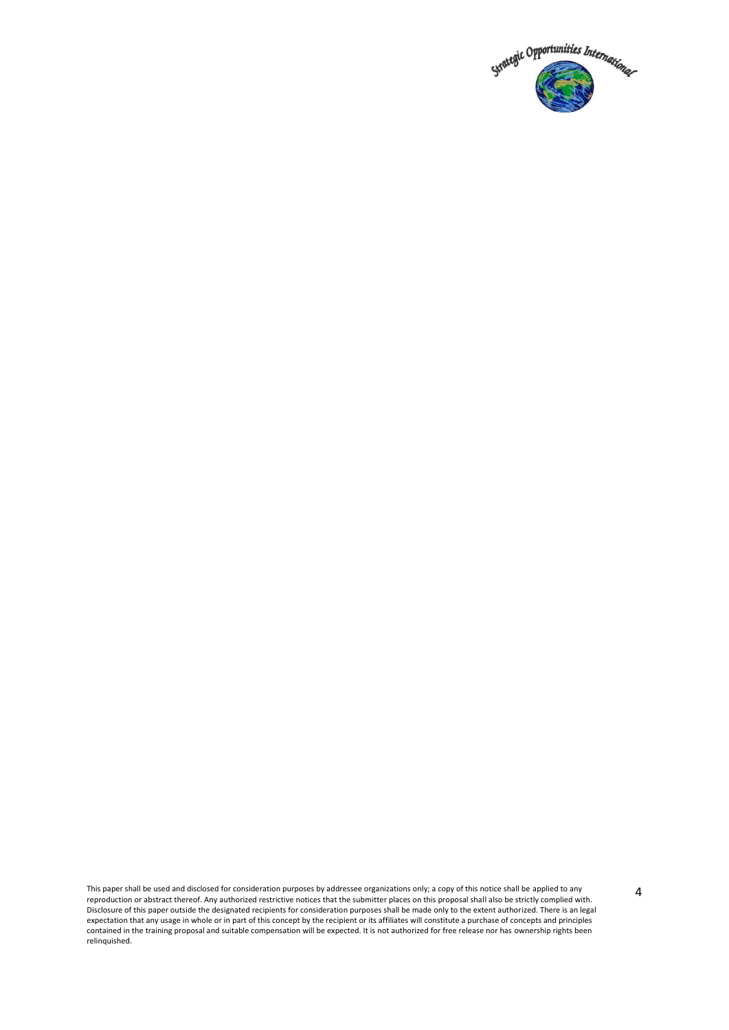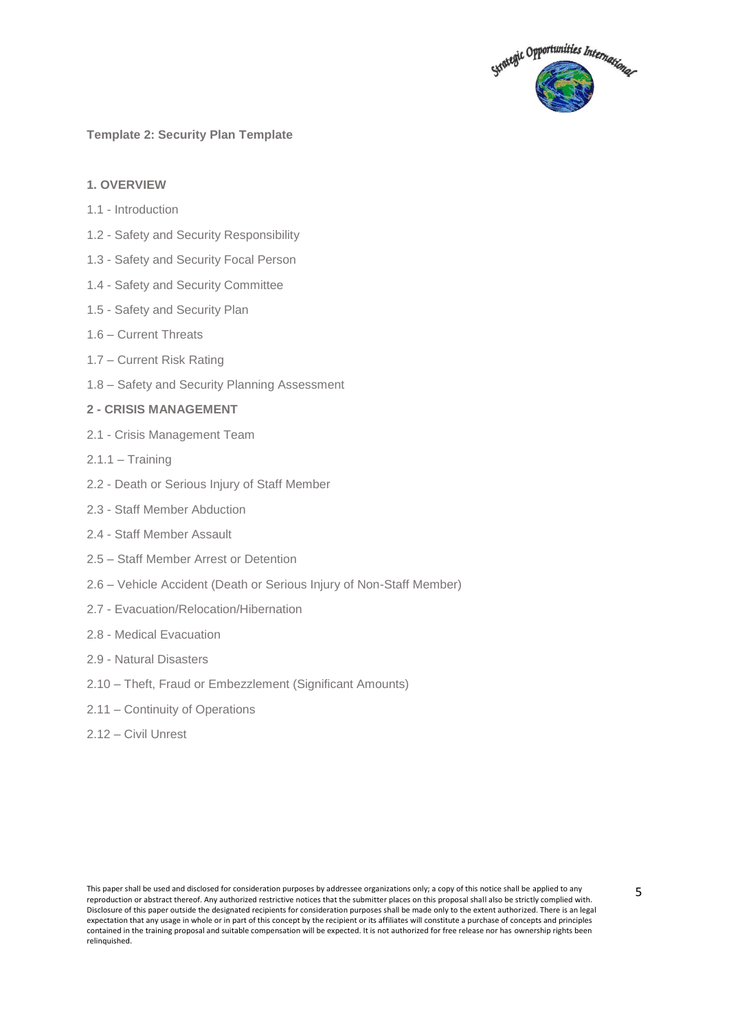

# **Template 2: Security Plan Template**

# **1. OVERVIEW**

- 1.1 Introduction
- 1.2 Safety and Security Responsibility
- 1.3 Safety and Security Focal Person
- 1.4 Safety and Security Committee
- 1.5 Safety and Security Plan
- 1.6 Current Threats
- 1.7 Current Risk Rating
- 1.8 Safety and Security Planning Assessment

#### **2 - CRISIS MANAGEMENT**

- 2.1 Crisis Management Team
- $2.1.1 Training$
- 2.2 Death or Serious Injury of Staff Member
- 2.3 Staff Member Abduction
- 2.4 Staff Member Assault
- 2.5 Staff Member Arrest or Detention
- 2.6 Vehicle Accident (Death or Serious Injury of Non-Staff Member)
- 2.7 Evacuation/Relocation/Hibernation
- 2.8 Medical Evacuation
- 2.9 Natural Disasters
- 2.10 Theft, Fraud or Embezzlement (Significant Amounts)
- 2.11 Continuity of Operations
- 2.12 Civil Unrest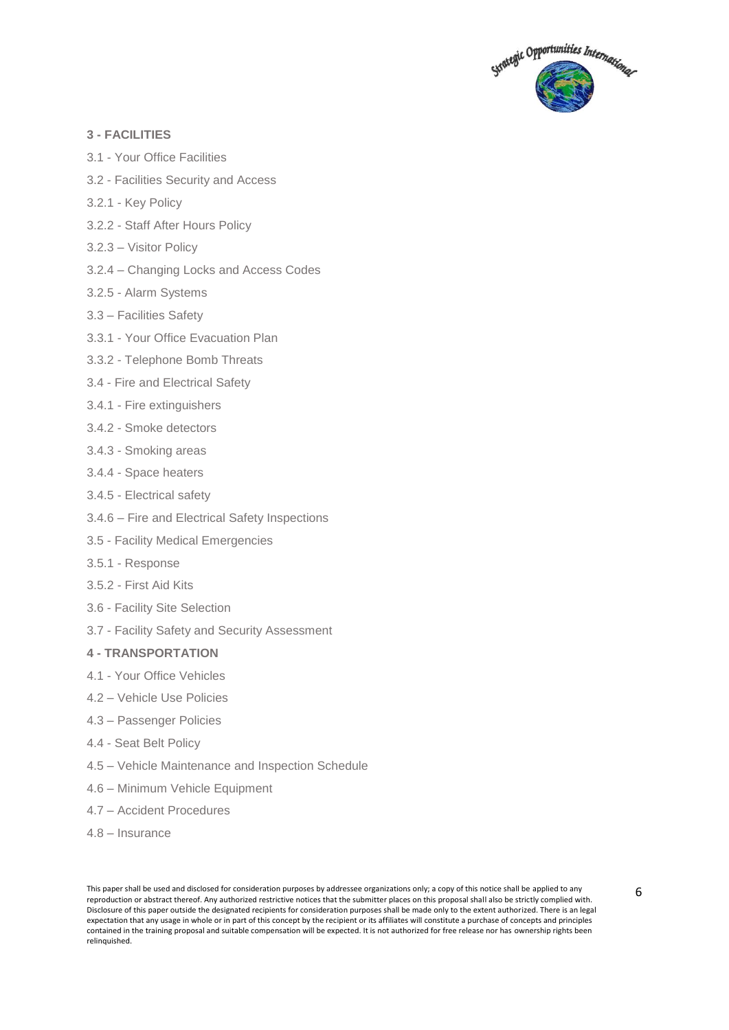

# **3 - FACILITIES**

- 3.1 Your Office Facilities
- 3.2 Facilities Security and Access
- 3.2.1 Key Policy
- 3.2.2 Staff After Hours Policy
- 3.2.3 Visitor Policy
- 3.2.4 Changing Locks and Access Codes
- 3.2.5 Alarm Systems
- 3.3 Facilities Safety
- 3.3.1 Your Office Evacuation Plan
- 3.3.2 Telephone Bomb Threats
- 3.4 Fire and Electrical Safety
- 3.4.1 Fire extinguishers
- 3.4.2 Smoke detectors
- 3.4.3 Smoking areas
- 3.4.4 Space heaters
- 3.4.5 Electrical safety
- 3.4.6 Fire and Electrical Safety Inspections
- 3.5 Facility Medical Emergencies
- 3.5.1 Response
- 3.5.2 First Aid Kits
- 3.6 Facility Site Selection
- 3.7 Facility Safety and Security Assessment

# **4 - TRANSPORTATION**

- 4.1 Your Office Vehicles
- 4.2 Vehicle Use Policies
- 4.3 Passenger Policies
- 4.4 Seat Belt Policy
- 4.5 Vehicle Maintenance and Inspection Schedule
- 4.6 Minimum Vehicle Equipment
- 4.7 Accident Procedures
- 4.8 Insurance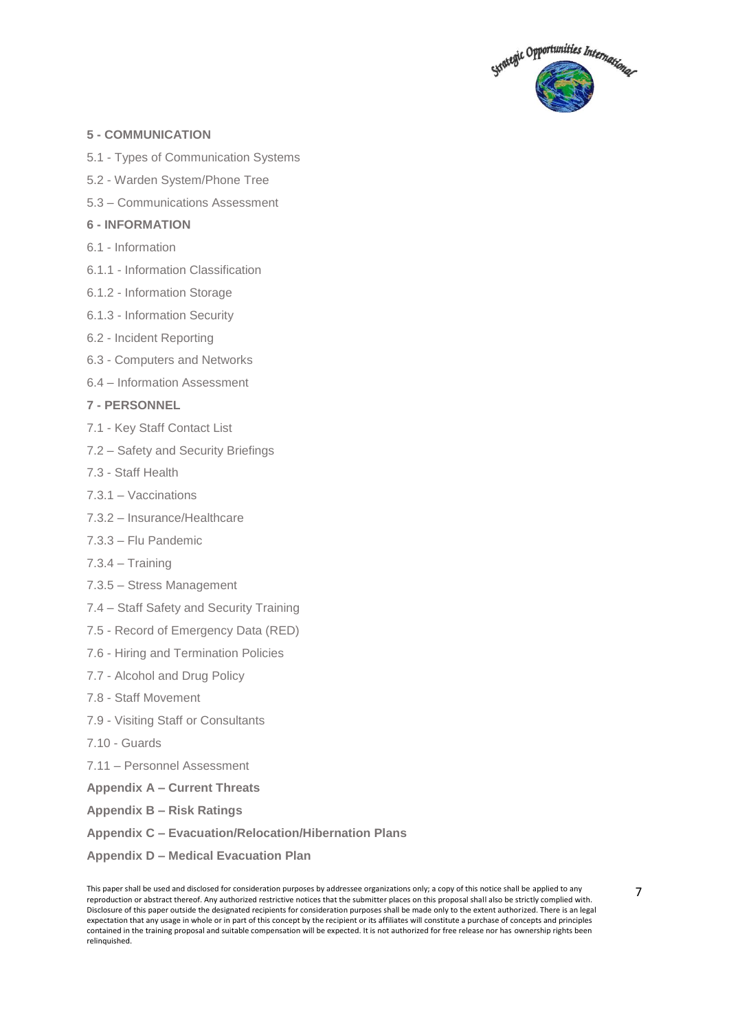

#### **5 - COMMUNICATION**

- 5.1 Types of Communication Systems
- 5.2 Warden System/Phone Tree
- 5.3 Communications Assessment

#### **6 - INFORMATION**

- 6.1 Information
- 6.1.1 Information Classification
- 6.1.2 Information Storage
- 6.1.3 Information Security
- 6.2 Incident Reporting
- 6.3 Computers and Networks
- 6.4 Information Assessment

# **7 - PERSONNEL**

- 7.1 Key Staff Contact List
- 7.2 Safety and Security Briefings
- 7.3 Staff Health
- 7.3.1 Vaccinations
- 7.3.2 Insurance/Healthcare
- 7.3.3 Flu Pandemic
- 7.3.4 Training
- 7.3.5 Stress Management
- 7.4 Staff Safety and Security Training
- 7.5 Record of Emergency Data (RED)
- 7.6 Hiring and Termination Policies
- 7.7 Alcohol and Drug Policy
- 7.8 Staff Movement
- 7.9 Visiting Staff or Consultants
- 7.10 Guards
- 7.11 Personnel Assessment
- **Appendix A – Current Threats**
- **Appendix B – Risk Ratings**
- **Appendix C – Evacuation/Relocation/Hibernation Plans**
- **Appendix D – Medical Evacuation Plan**